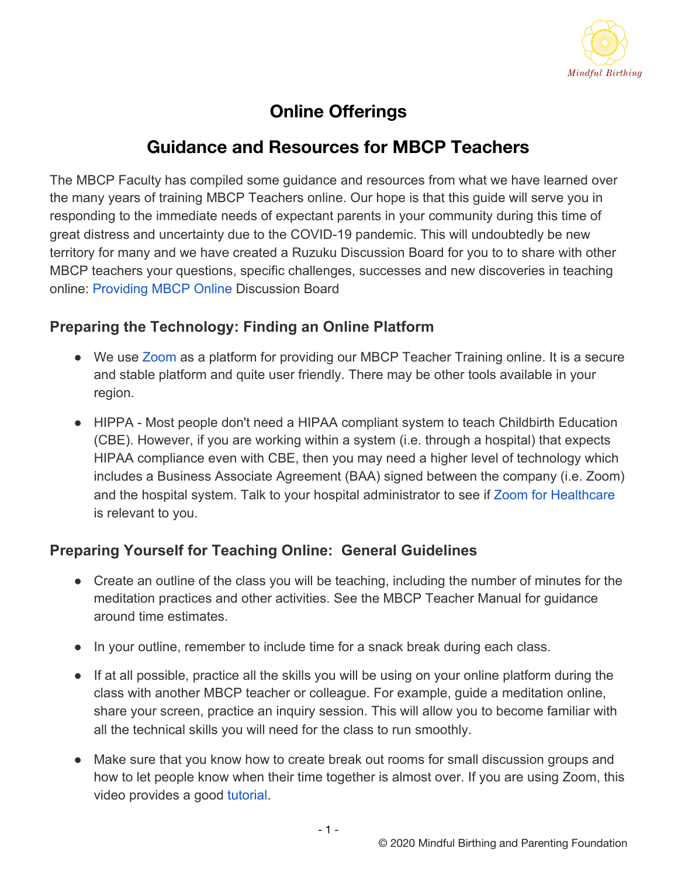

## **Online Offerings**

## **Guidance and Resources for MBCP Teachers**

The MBCP Faculty has compiled some guidance and resources from what we have learned over the many years of training MBCP Teachers online. Our hope is that this guide will serve you in responding to the immediate needs of expectant parents in your community during this time of great distress and uncertainty due to the COVID-19 pandemic. This will undoubtedly be new territory for many and we have created a Ruzuku Discussion Board for you to to share with other MBCP teachers your questions, specific challenges, successes and new discoveries in teaching online[: Providing MBCP Online](https://app.ruzuku.com/courses/9632/activities/1106437) Discussion Board

#### **Preparing the Technology: Finding an Online Platform**

- We use [Zoom](https://www.zoom.us/) as a platform for providing our MBCP Teacher Training online. It is a secure and stable platform and quite user friendly. There may be other tools available in your region.
- HIPPA Most people don't need a HIPAA compliant system to teach Childbirth Education (CBE). However, if you are working within a system (i.e. through a hospital) that expects HIPAA compliance even with CBE, then you may need a higher level of technology which includes a Business Associate Agreement (BAA) signed between the company (i.e. Zoom) and the hospital system. Talk to your hospital administrator to see if [Zoom for Healthcare](https://zoom.us/healthcare) is relevant to you.

#### **Preparing Yourself for Teaching Online: General Guidelines**

- Create an outline of the class you will be teaching, including the number of minutes for the meditation practices and other activities. See the MBCP Teacher Manual for guidance around time estimates.
- In your outline, remember to include time for a snack break during each class.
- If at all possible, practice all the skills you will be using on your online platform during the class with another MBCP teacher or colleague. For example, guide a meditation online, share your screen, practice an inquiry session. This will allow you to become familiar with all the technical skills you will need for the class to run smoothly.
- Make sure that you know how to create break out rooms for small discussion groups and how to let people know when their time together is almost over. If you are using Zoom, this video provides a good [tutorial.](https://support.zoom.us/hc/en-us/articles/206476093-Getting-Started-with-Video-Breakout-Rooms)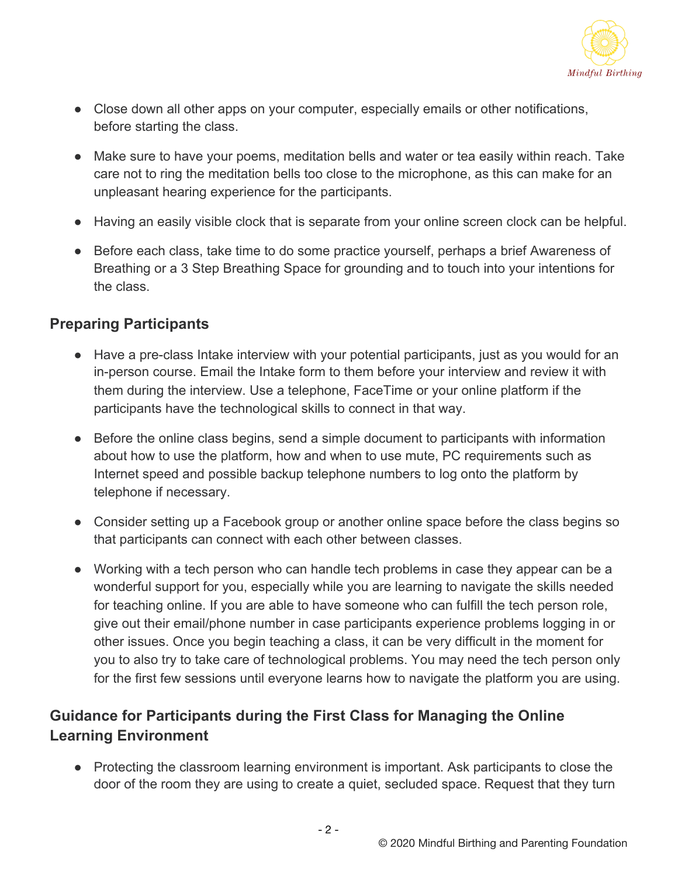

- Close down all other apps on your computer, especially emails or other notifications, before starting the class.
- Make sure to have your poems, meditation bells and water or tea easily within reach. Take care not to ring the meditation bells too close to the microphone, as this can make for an unpleasant hearing experience for the participants.
- Having an easily visible clock that is separate from your online screen clock can be helpful.
- Before each class, take time to do some practice yourself, perhaps a brief Awareness of Breathing or a 3 Step Breathing Space for grounding and to touch into your intentions for the class.

#### **Preparing Participants**

- Have a pre-class Intake interview with your potential participants, just as you would for an in-person course. Email the Intake form to them before your interview and review it with them during the interview. Use a telephone, FaceTime or your online platform if the participants have the technological skills to connect in that way.
- Before the online class begins, send a simple document to participants with information about how to use the platform, how and when to use mute, PC requirements such as Internet speed and possible backup telephone numbers to log onto the platform by telephone if necessary.
- Consider setting up a Facebook group or another online space before the class begins so that participants can connect with each other between classes.
- Working with a tech person who can handle tech problems in case they appear can be a wonderful support for you, especially while you are learning to navigate the skills needed for teaching online. If you are able to have someone who can fulfill the tech person role, give out their email/phone number in case participants experience problems logging in or other issues. Once you begin teaching a class, it can be very difficult in the moment for you to also try to take care of technological problems. You may need the tech person only for the first few sessions until everyone learns how to navigate the platform you are using.

### **Guidance for Participants during the First Class for Managing the Online Learning Environment**

● Protecting the classroom learning environment is important. Ask participants to close the door of the room they are using to create a quiet, secluded space. Request that they turn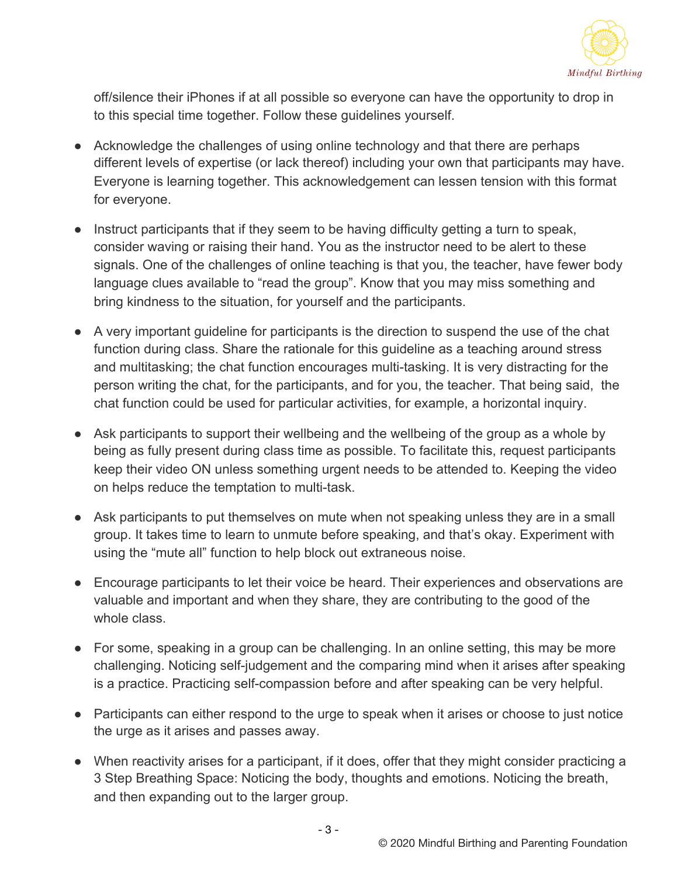

off/silence their iPhones if at all possible so everyone can have the opportunity to drop in to this special time together. Follow these guidelines yourself.

- Acknowledge the challenges of using online technology and that there are perhaps different levels of expertise (or lack thereof) including your own that participants may have. Everyone is learning together. This acknowledgement can lessen tension with this format for everyone.
- Instruct participants that if they seem to be having difficulty getting a turn to speak, consider waving or raising their hand. You as the instructor need to be alert to these signals. One of the challenges of online teaching is that you, the teacher, have fewer body language clues available to "read the group". Know that you may miss something and bring kindness to the situation, for yourself and the participants.
- A very important guideline for participants is the direction to suspend the use of the chat function during class. Share the rationale for this guideline as a teaching around stress and multitasking; the chat function encourages multi-tasking. It is very distracting for the person writing the chat, for the participants, and for you, the teacher. That being said, the chat function could be used for particular activities, for example, a horizontal inquiry.
- Ask participants to support their wellbeing and the wellbeing of the group as a whole by being as fully present during class time as possible. To facilitate this, request participants keep their video ON unless something urgent needs to be attended to. Keeping the video on helps reduce the temptation to multi-task.
- Ask participants to put themselves on mute when not speaking unless they are in a small group. It takes time to learn to unmute before speaking, and that's okay. Experiment with using the "mute all" function to help block out extraneous noise.
- Encourage participants to let their voice be heard. Their experiences and observations are valuable and important and when they share, they are contributing to the good of the whole class.
- For some, speaking in a group can be challenging. In an online setting, this may be more challenging. Noticing self-judgement and the comparing mind when it arises after speaking is a practice. Practicing self-compassion before and after speaking can be very helpful.
- Participants can either respond to the urge to speak when it arises or choose to just notice the urge as it arises and passes away.
- When reactivity arises for a participant, if it does, offer that they might consider practicing a 3 Step Breathing Space: Noticing the body, thoughts and emotions. Noticing the breath, and then expanding out to the larger group.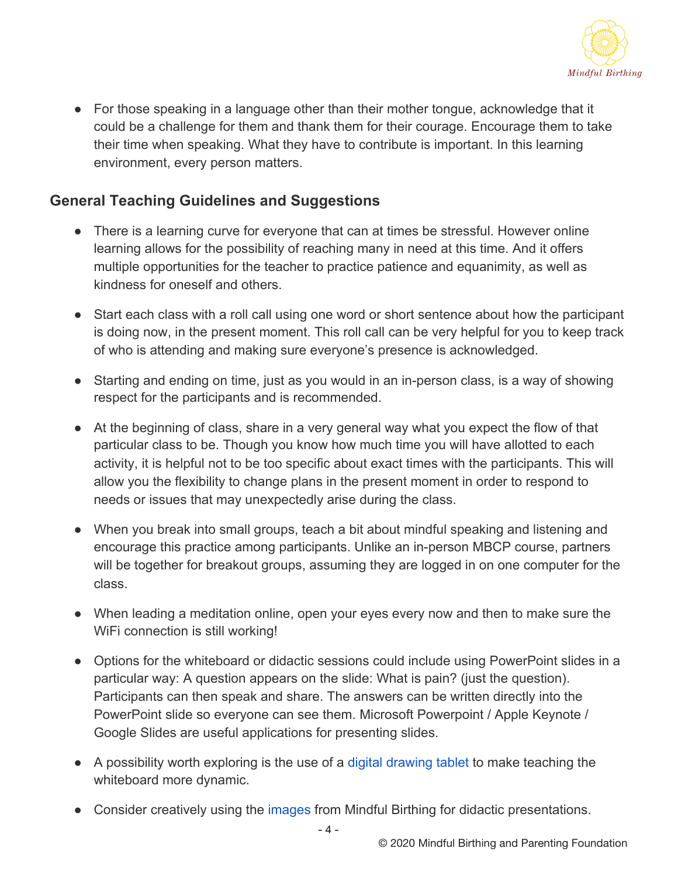

● For those speaking in a language other than their mother tongue, acknowledge that it could be a challenge for them and thank them for their courage. Encourage them to take their time when speaking. What they have to contribute is important. In this learning environment, every person matters.

#### **General Teaching Guidelines and Suggestions**

- There is a learning curve for everyone that can at times be stressful. However online learning allows for the possibility of reaching many in need at this time. And it offers multiple opportunities for the teacher to practice patience and equanimity, as well as kindness for oneself and others.
- Start each class with a roll call using one word or short sentence about how the participant is doing now, in the present moment. This roll call can be very helpful for you to keep track of who is attending and making sure everyone's presence is acknowledged.
- Starting and ending on time, just as you would in an in-person class, is a way of showing respect for the participants and is recommended.
- At the beginning of class, share in a very general way what you expect the flow of that particular class to be. Though you know how much time you will have allotted to each activity, it is helpful not to be too specific about exact times with the participants. This will allow you the flexibility to change plans in the present moment in order to respond to needs or issues that may unexpectedly arise during the class.
- When you break into small groups, teach a bit about mindful speaking and listening and encourage this practice among participants. Unlike an in-person MBCP course, partners will be together for breakout groups, assuming they are logged in on one computer for the class.
- When leading a meditation online, open your eyes every now and then to make sure the WiFi connection is still working!
- Options for the whiteboard or didactic sessions could include using PowerPoint slides in a particular way: A question appears on the slide: What is pain? (just the question). Participants can then speak and share. The answers can be written directly into the PowerPoint slide so everyone can see them. Microsoft Powerpoint / Apple Keynote / Google Slides are useful applications for presenting slides.
- A possibility worth exploring is the use of a [digital drawing tablet](https://www.amazon.com/StarG640-Ultrathin-Graphics-Battery-Free-Pressure/dp/B078YR2MTF) to make teaching the whiteboard more dynamic.
- Consider creatively using the [images](https://www.mindfulbirthing.org/product-page/mindful-birthing-book-images) from Mindful Birthing for didactic presentations.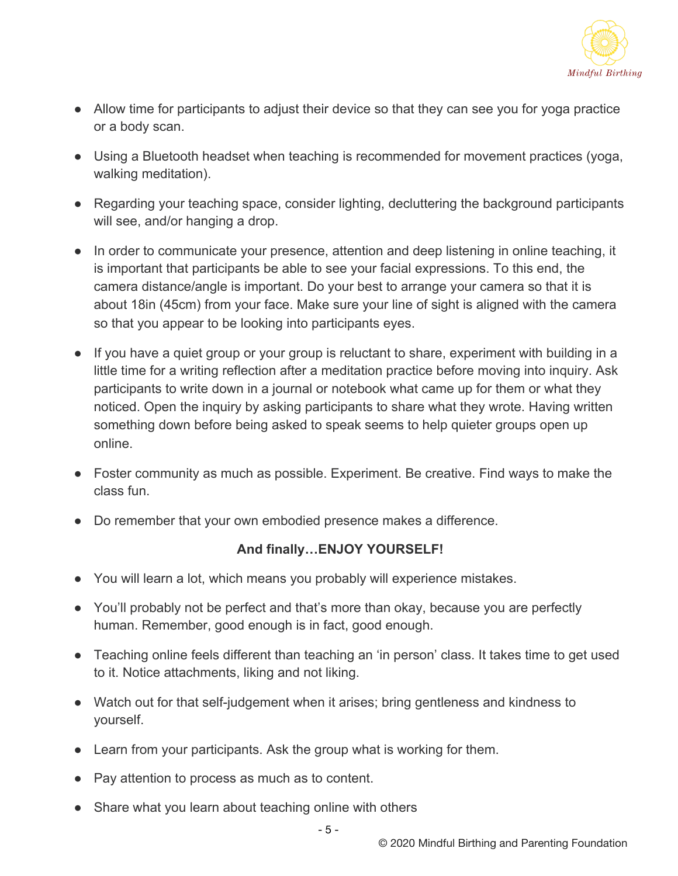

- Allow time for participants to adjust their device so that they can see you for yoga practice or a body scan.
- Using a Bluetooth headset when teaching is recommended for movement practices (yoga, walking meditation).
- Regarding your teaching space, consider lighting, decluttering the background participants will see, and/or hanging a drop.
- In order to communicate your presence, attention and deep listening in online teaching, it is important that participants be able to see your facial expressions. To this end, the camera distance/angle is important. Do your best to arrange your camera so that it is about 18in (45cm) from your face. Make sure your line of sight is aligned with the camera so that you appear to be looking into participants eyes.
- If you have a quiet group or your group is reluctant to share, experiment with building in a little time for a writing reflection after a meditation practice before moving into inquiry. Ask participants to write down in a journal or notebook what came up for them or what they noticed. Open the inquiry by asking participants to share what they wrote. Having written something down before being asked to speak seems to help quieter groups open up online.
- Foster community as much as possible. Experiment. Be creative. Find ways to make the class fun.
- Do remember that your own embodied presence makes a difference.

#### **And finally…ENJOY YOURSELF!**

- You will learn a lot, which means you probably will experience mistakes.
- You'll probably not be perfect and that's more than okay, because you are perfectly human. Remember, good enough is in fact, good enough.
- Teaching online feels different than teaching an 'in person' class. It takes time to get used to it. Notice attachments, liking and not liking.
- Watch out for that self-judgement when it arises; bring gentleness and kindness to yourself.
- Learn from your participants. Ask the group what is working for them.
- Pay attention to process as much as to content.
- Share what you learn about teaching online with others